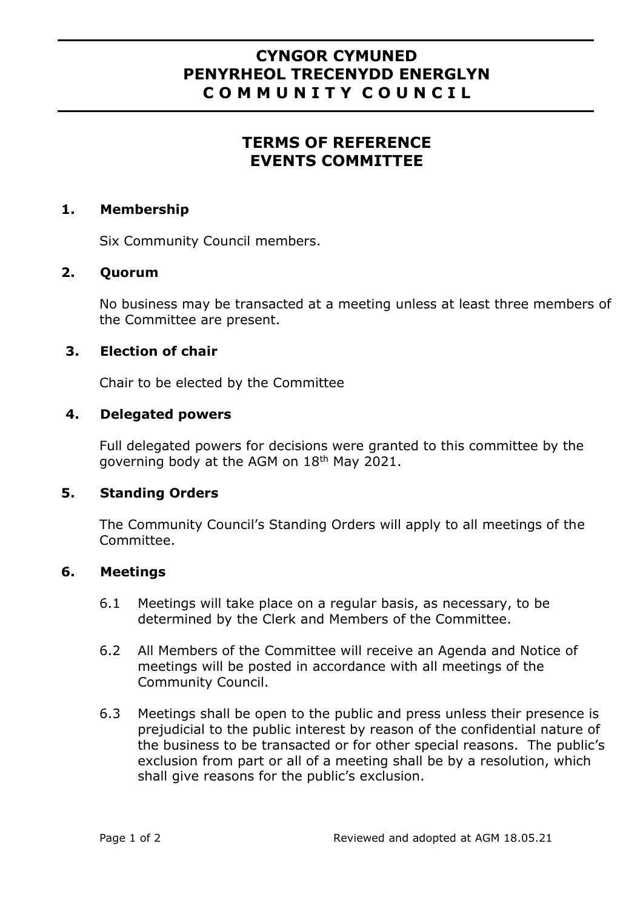# **CYNGOR CYMUNED PENYRHEOL TRECENYDD ENERGLYN C O M M U N I T Y C O U N C I L**

# **TERMS OF REFERENCE EVENTS COMMITTEE**

### **1. Membership**

Six Community Council members.

### **2. Quorum**

No business may be transacted at a meeting unless at least three members of the Committee are present.

# **3. Election of chair**

Chair to be elected by the Committee

#### **4. Delegated powers**

Full delegated powers for decisions were granted to this committee by the governing body at the AGM on 18th May 2021.

# **5. Standing Orders**

The Community Council's Standing Orders will apply to all meetings of the Committee.

#### **6. Meetings**

- 6.1 Meetings will take place on a regular basis, as necessary, to be determined by the Clerk and Members of the Committee.
- 6.2 All Members of the Committee will receive an Agenda and Notice of meetings will be posted in accordance with all meetings of the Community Council.
- 6.3 Meetings shall be open to the public and press unless their presence is prejudicial to the public interest by reason of the confidential nature of the business to be transacted or for other special reasons. The public's exclusion from part or all of a meeting shall be by a resolution, which shall give reasons for the public's exclusion.